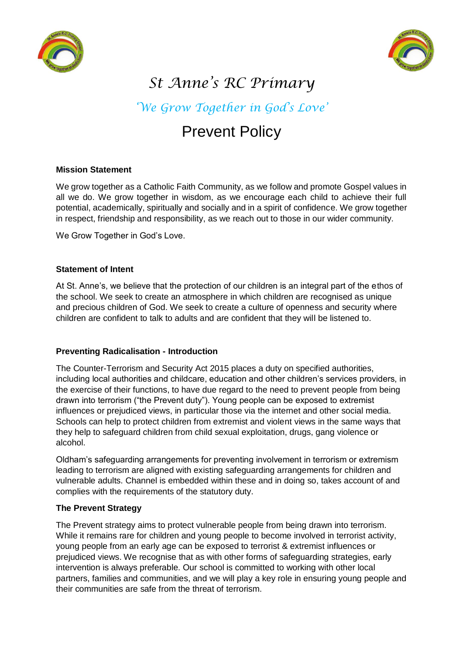



# *St Anne's RC Primary*

# *'We Grow Together in God's Love'*

# Prevent Policy

### **Mission Statement**

We grow together as a Catholic Faith Community, as we follow and promote Gospel values in all we do. We grow together in wisdom, as we encourage each child to achieve their full potential, academically, spiritually and socially and in a spirit of confidence. We grow together in respect, friendship and responsibility, as we reach out to those in our wider community.

We Grow Together in God's Love.

### **Statement of Intent**

At St. Anne's, we believe that the protection of our children is an integral part of the ethos of the school. We seek to create an atmosphere in which children are recognised as unique and precious children of God. We seek to create a culture of openness and security where children are confident to talk to adults and are confident that they will be listened to.

# **Preventing Radicalisation - Introduction**

The Counter-Terrorism and Security Act 2015 places a duty on specified authorities, including local authorities and childcare, education and other children's services providers, in the exercise of their functions, to have due regard to the need to prevent people from being drawn into terrorism ("the Prevent duty"). Young people can be exposed to extremist influences or prejudiced views, in particular those via the internet and other social media. Schools can help to protect children from extremist and violent views in the same ways that they help to safeguard children from child sexual exploitation, drugs, gang violence or alcohol.

Oldham's safeguarding arrangements for preventing involvement in terrorism or extremism leading to terrorism are aligned with existing safeguarding arrangements for children and vulnerable adults. Channel is embedded within these and in doing so, takes account of and complies with the requirements of the statutory duty.

# **The Prevent Strategy**

The Prevent strategy aims to protect vulnerable people from being drawn into terrorism. While it remains rare for children and young people to become involved in terrorist activity, young people from an early age can be exposed to terrorist & extremist influences or prejudiced views. We recognise that as with other forms of safeguarding strategies, early intervention is always preferable. Our school is committed to working with other local partners, families and communities, and we will play a key role in ensuring young people and their communities are safe from the threat of terrorism.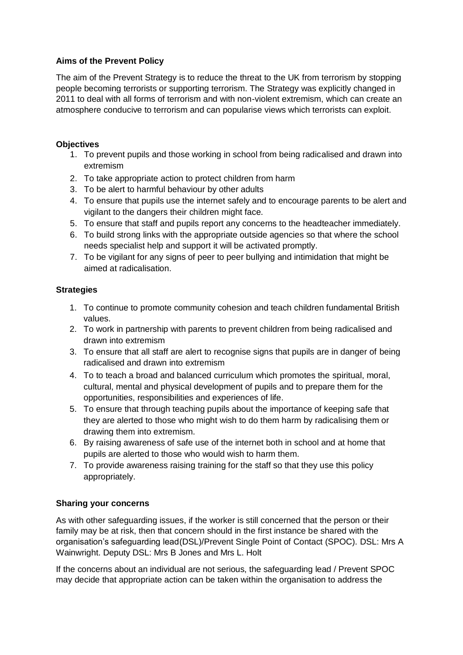### **Aims of the Prevent Policy**

The aim of the Prevent Strategy is to reduce the threat to the UK from terrorism by stopping people becoming terrorists or supporting terrorism. The Strategy was explicitly changed in 2011 to deal with all forms of terrorism and with non-violent extremism, which can create an atmosphere conducive to terrorism and can popularise views which terrorists can exploit.

### **Objectives**

- 1. To prevent pupils and those working in school from being radicalised and drawn into extremism
- 2. To take appropriate action to protect children from harm
- 3. To be alert to harmful behaviour by other adults
- 4. To ensure that pupils use the internet safely and to encourage parents to be alert and vigilant to the dangers their children might face.
- 5. To ensure that staff and pupils report any concerns to the headteacher immediately.
- 6. To build strong links with the appropriate outside agencies so that where the school needs specialist help and support it will be activated promptly.
- 7. To be vigilant for any signs of peer to peer bullying and intimidation that might be aimed at radicalisation.

### **Strategies**

- 1. To continue to promote community cohesion and teach children fundamental British values.
- 2. To work in partnership with parents to prevent children from being radicalised and drawn into extremism
- 3. To ensure that all staff are alert to recognise signs that pupils are in danger of being radicalised and drawn into extremism
- 4. To to teach a broad and balanced curriculum which promotes the spiritual, moral, cultural, mental and physical development of pupils and to prepare them for the opportunities, responsibilities and experiences of life.
- 5. To ensure that through teaching pupils about the importance of keeping safe that they are alerted to those who might wish to do them harm by radicalising them or drawing them into extremism.
- 6. By raising awareness of safe use of the internet both in school and at home that pupils are alerted to those who would wish to harm them.
- 7. To provide awareness raising training for the staff so that they use this policy appropriately.

# **Sharing your concerns**

As with other safeguarding issues, if the worker is still concerned that the person or their family may be at risk, then that concern should in the first instance be shared with the organisation's safeguarding lead(DSL)/Prevent Single Point of Contact (SPOC). DSL: Mrs A Wainwright. Deputy DSL: Mrs B Jones and Mrs L. Holt

If the concerns about an individual are not serious, the safeguarding lead / Prevent SPOC may decide that appropriate action can be taken within the organisation to address the